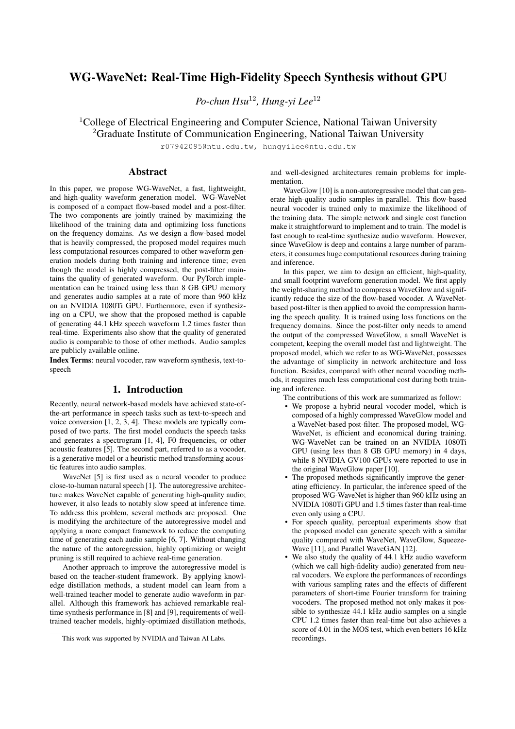# WG-WaveNet: Real-Time High-Fidelity Speech Synthesis without GPU

*Po-chun Hsu*<sup>12</sup>*, Hung-yi Lee*<sup>12</sup>

<sup>1</sup>College of Electrical Engineering and Computer Science, National Taiwan University <sup>2</sup>Graduate Institute of Communication Engineering, National Taiwan University

r07942095@ntu.edu.tw, hungyilee@ntu.edu.tw

# Abstract

In this paper, we propose WG-WaveNet, a fast, lightweight, and high-quality waveform generation model. WG-WaveNet is composed of a compact flow-based model and a post-filter. The two components are jointly trained by maximizing the likelihood of the training data and optimizing loss functions on the frequency domains. As we design a flow-based model that is heavily compressed, the proposed model requires much less computational resources compared to other waveform generation models during both training and inference time; even though the model is highly compressed, the post-filter maintains the quality of generated waveform. Our PyTorch implementation can be trained using less than 8 GB GPU memory and generates audio samples at a rate of more than 960 kHz on an NVIDIA 1080Ti GPU. Furthermore, even if synthesizing on a CPU, we show that the proposed method is capable of generating 44.1 kHz speech waveform 1.2 times faster than real-time. Experiments also show that the quality of generated audio is comparable to those of other methods. Audio samples are publicly available online.

Index Terms: neural vocoder, raw waveform synthesis, text-tospeech

### 1. Introduction

Recently, neural network-based models have achieved state-ofthe-art performance in speech tasks such as text-to-speech and voice conversion [1, 2, 3, 4]. These models are typically composed of two parts. The first model conducts the speech tasks and generates a spectrogram [1, 4], F0 frequencies, or other acoustic features [5]. The second part, referred to as a vocoder, is a generative model or a heuristic method transforming acoustic features into audio samples.

WaveNet [5] is first used as a neural vocoder to produce close-to-human natural speech [1]. The autoregressive architecture makes WaveNet capable of generating high-quality audio; however, it also leads to notably slow speed at inference time. To address this problem, several methods are proposed. One is modifying the architecture of the autoregressive model and applying a more compact framework to reduce the computing time of generating each audio sample [6, 7]. Without changing the nature of the autoregression, highly optimizing or weight pruning is still required to achieve real-time generation.

Another approach to improve the autoregressive model is based on the teacher-student framework. By applying knowledge distillation methods, a student model can learn from a well-trained teacher model to generate audio waveform in parallel. Although this framework has achieved remarkable realtime synthesis performance in [8] and [9], requirements of welltrained teacher models, highly-optimized distillation methods, and well-designed architectures remain problems for implementation.

WaveGlow [10] is a non-autoregressive model that can generate high-quality audio samples in parallel. This flow-based neural vocoder is trained only to maximize the likelihood of the training data. The simple network and single cost function make it straightforward to implement and to train. The model is fast enough to real-time synthesize audio waveform. However, since WaveGlow is deep and contains a large number of parameters, it consumes huge computational resources during training and inference.

In this paper, we aim to design an efficient, high-quality, and small footprint waveform generation model. We first apply the weight-sharing method to compress a WaveGlow and significantly reduce the size of the flow-based vocoder. A WaveNetbased post-filter is then applied to avoid the compression harming the speech quality. It is trained using loss functions on the frequency domains. Since the post-filter only needs to amend the output of the compressed WaveGlow, a small WaveNet is competent, keeping the overall model fast and lightweight. The proposed model, which we refer to as WG-WaveNet, possesses the advantage of simplicity in network architecture and loss function. Besides, compared with other neural vocoding methods, it requires much less computational cost during both training and inference.

The contributions of this work are summarized as follow:

- We propose a hybrid neural vocoder model, which is composed of a highly compressed WaveGlow model and a WaveNet-based post-filter. The proposed model, WG-WaveNet, is efficient and economical during training. WG-WaveNet can be trained on an NVIDIA 1080Ti GPU (using less than 8 GB GPU memory) in 4 days, while 8 NVIDIA GV100 GPUs were reported to use in the original WaveGlow paper [10].
- The proposed methods significantly improve the generating efficiency. In particular, the inference speed of the proposed WG-WaveNet is higher than 960 kHz using an NVIDIA 1080Ti GPU and 1.5 times faster than real-time even only using a CPU.
- For speech quality, perceptual experiments show that the proposed model can generate speech with a similar quality compared with WaveNet, WaveGlow, Squeeze-Wave [11], and Parallel WaveGAN [12].
- We also study the quality of 44.1 kHz audio waveform (which we call high-fidelity audio) generated from neural vocoders. We explore the performances of recordings with various sampling rates and the effects of different parameters of short-time Fourier transform for training vocoders. The proposed method not only makes it possible to synthesize 44.1 kHz audio samples on a single CPU 1.2 times faster than real-time but also achieves a score of 4.01 in the MOS test, which even betters 16 kHz recordings.

This work was supported by NVIDIA and Taiwan AI Labs.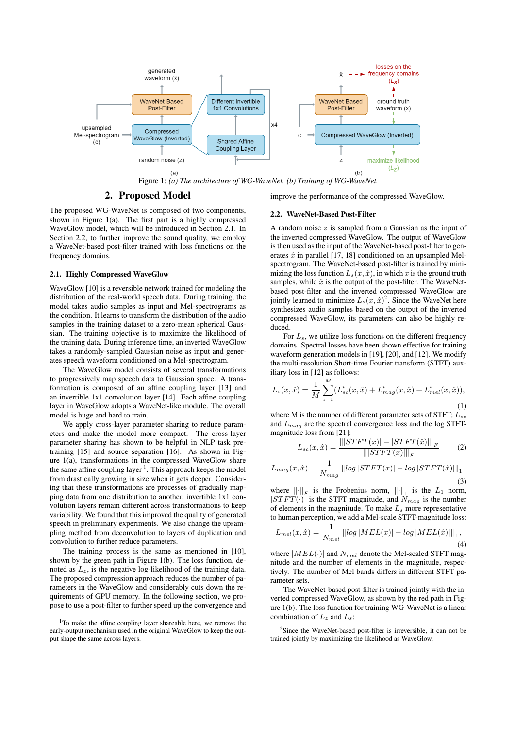

### 2. Proposed Model

improve the performance of the compressed WaveGlow.

The proposed WG-WaveNet is composed of two components, shown in Figure 1(a). The first part is a highly compressed WaveGlow model, which will be introduced in Section 2.1. In Section 2.2, to further improve the sound quality, we employ a WaveNet-based post-filter trained with loss functions on the frequency domains.

#### 2.1. Highly Compressed WaveGlow

WaveGlow [10] is a reversible network trained for modeling the distribution of the real-world speech data. During training, the model takes audio samples as input and Mel-spectrograms as the condition. It learns to transform the distribution of the audio samples in the training dataset to a zero-mean spherical Gaussian. The training objective is to maximize the likelihood of the training data. During inference time, an inverted WaveGlow takes a randomly-sampled Gaussian noise as input and generates speech waveform conditioned on a Mel-spectrogram.

The WaveGlow model consists of several transformations to progressively map speech data to Gaussian space. A transformation is composed of an affine coupling layer [13] and an invertible 1x1 convolution layer [14]. Each affine coupling layer in WaveGlow adopts a WaveNet-like module. The overall model is huge and hard to train.

We apply cross-layer parameter sharing to reduce parameters and make the model more compact. The cross-layer parameter sharing has shown to be helpful in NLP task pretraining [15] and source separation [16]. As shown in Figure 1(a), transformations in the compressed WaveGlow share the same affine coupling layer <sup>1</sup>. This approach keeps the model from drastically growing in size when it gets deeper. Considering that these transformations are processes of gradually mapping data from one distribution to another, invertible 1x1 convolution layers remain different across transformations to keep variability. We found that this improved the quality of generated speech in preliminary experiments. We also change the upsampling method from deconvolution to layers of duplication and convolution to further reduce parameters.

The training process is the same as mentioned in [10], shown by the green path in Figure 1(b). The loss function, denoted as  $L_z$ , is the negative log-likelihood of the training data. The proposed compression approach reduces the number of parameters in the WaveGlow and considerably cuts down the requirements of GPU memory. In the following section, we propose to use a post-filter to further speed up the convergence and

#### 2.2. WaveNet-Based Post-Filter

A random noise  $z$  is sampled from a Gaussian as the input of the inverted compressed WaveGlow. The output of WaveGlow is then used as the input of the WaveNet-based post-filter to generates  $\hat{x}$  in parallel [17, 18] conditioned on an upsampled Melspectrogram. The WaveNet-based post-filter is trained by minimizing the loss function  $L_s(x, \hat{x})$ , in which x is the ground truth samples, while  $\hat{x}$  is the output of the post-filter. The WaveNetbased post-filter and the inverted compressed WaveGlow are jointly learned to minimize  $L_s(x, \hat{x})^2$ . Since the WaveNet here synthesizes audio samples based on the output of the inverted compressed WaveGlow, its parameters can also be highly reduced.

For  $L_s$ , we utilize loss functions on the different frequency domains. Spectral losses have been shown effective for training waveform generation models in [19], [20], and [12]. We modify the multi-resolution Short-time Fourier transform (STFT) auxiliary loss in [12] as follows:

$$
L_s(x, \hat{x}) = \frac{1}{M} \sum_{i=1}^{M} (L_{sc}^i(x, \hat{x}) + L_{mag}^i(x, \hat{x}) + L_{mel}^i(x, \hat{x})),
$$
\n(1)

where M is the number of different parameter sets of STFT;  $L_{sc}$ and  $L_{mag}$  are the spectral convergence loss and the log STFTmagnitude loss from [21]:

$$
L_{sc}(x,\hat{x}) = \frac{\| |STFT(x)| - |STFT(\hat{x})| \|_F}{\| |STFT(x)| \|_F}
$$
(2)

$$
L_{mag}(x,\hat{x}) = \frac{1}{N_{mag}} \left| \log \left| STFT(x) \right| - \log \left| STFT(\hat{x}) \right| \right|_{1},\tag{3}
$$

where  $\left\| \cdot \right\|_F$  is the Frobenius norm,  $\left\| \cdot \right\|_1$  is the  $L_1$  norm,  $|STFT(\cdot)|$  is the STFT magnitude, and  $N_{mag}$  is the number of elements in the magnitude. To make  $L<sub>s</sub>$  more representative to human perception, we add a Mel-scale STFT-magnitude loss:

$$
L_{mel}(x, \hat{x}) = \frac{1}{N_{mel}} ||log|MEL(x)| - log|MEL(\hat{x})||_1,
$$
\n(4)

where  $|MEL(\cdot)|$  and  $N_{mel}$  denote the Mel-scaled STFT magnitude and the number of elements in the magnitude, respectively. The number of Mel bands differs in different STFT parameter sets.

The WaveNet-based post-filter is trained jointly with the inverted compressed WaveGlow, as shown by the red path in Figure 1(b). The loss function for training WG-WaveNet is a linear combination of  $L_z$  and  $L_s$ :

 $1$ To make the affine coupling layer shareable here, we remove the early-output mechanism used in the original WaveGlow to keep the output shape the same across layers.

 $2$ Since the WaveNet-based post-filter is irreversible, it can not be trained jointly by maximizing the likelihood as WaveGlow.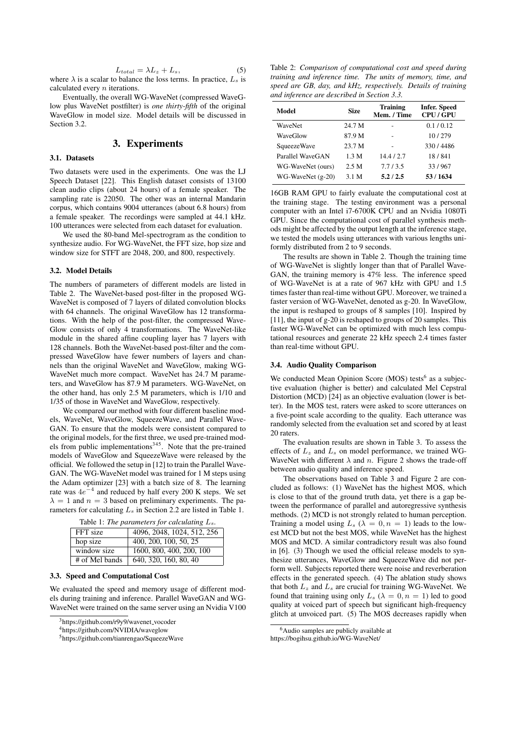$$
L_{total} = \lambda L_z + L_s, \tag{5}
$$

where  $\lambda$  is a scalar to balance the loss terms. In practice,  $L_s$  is calculated every  $n$  iterations.

Eventually, the overall WG-WaveNet (compressed WaveGlow plus WaveNet postfilter) is *one thirty-fifth* of the original WaveGlow in model size. Model details will be discussed in Section 3.2.

# 3. Experiments

### 3.1. Datasets

Two datasets were used in the experiments. One was the LJ Speech Dataset [22]. This English dataset consists of 13100 clean audio clips (about 24 hours) of a female speaker. The sampling rate is 22050. The other was an internal Mandarin corpus, which contains 9004 utterances (about 6.8 hours) from a female speaker. The recordings were sampled at 44.1 kHz. 100 utterances were selected from each dataset for evaluation.

We used the 80-band Mel-spectrogram as the condition to synthesize audio. For WG-WaveNet, the FFT size, hop size and window size for STFT are 2048, 200, and 800, respectively.

#### 3.2. Model Details

The numbers of parameters of different models are listed in Table 2. The WaveNet-based post-filter in the proposed WG-WaveNet is composed of 7 layers of dilated convolution blocks with 64 channels. The original WaveGlow has 12 transformations. With the help of the post-filter, the compressed Wave-Glow consists of only 4 transformations. The WaveNet-like module in the shared affine coupling layer has 7 layers with 128 channels. Both the WaveNet-based post-filter and the compressed WaveGlow have fewer numbers of layers and channels than the original WaveNet and WaveGlow, making WG-WaveNet much more compact. WaveNet has 24.7 M parameters, and WaveGlow has 87.9 M parameters. WG-WaveNet, on the other hand, has only 2.5 M parameters, which is 1/10 and 1/35 of those in WaveNet and WaveGlow, respectively.

We compared our method with four different baseline models, WaveNet, WaveGlow, SqueezeWave, and Parallel Wave-GAN. To ensure that the models were consistent compared to the original models, for the first three, we used pre-trained models from public implementations $345$ . Note that the pre-trained models of WaveGlow and SqueezeWave were released by the official. We followed the setup in [12] to train the Parallel Wave-GAN. The WG-WaveNet model was trained for 1 M steps using the Adam optimizer [23] with a batch size of 8. The learning rate was  $4e^{-4}$  and reduced by half every 200 K steps. We set  $\lambda = 1$  and  $n = 3$  based on preliminary experiments. The parameters for calculating  $L_s$  in Section 2.2 are listed in Table 1.

|  |  |  | Table 1: The parameters for calculating $L_s$ . |  |  |  |  |
|--|--|--|-------------------------------------------------|--|--|--|--|
|--|--|--|-------------------------------------------------|--|--|--|--|

| FFT size       | 4096, 2048, 1024, 512, 256 |  |
|----------------|----------------------------|--|
| hop size       | 400, 200, 100, 50, 25      |  |
| window size    | 1600, 800, 400, 200, 100   |  |
| # of Mel bands | 640, 320, 160, 80, 40      |  |

#### 3.3. Speed and Computational Cost

We evaluated the speed and memory usage of different models during training and inference. Parallel WaveGAN and WG-WaveNet were trained on the same server using an Nvidia V100

<sup>3</sup>https://github.com/r9y9/wavenet\_vocoder

<sup>4</sup>https://github.com/NVIDIA/waveglow

<sup>5</sup>https://github.com/tianrengao/SqueezeWave

Table 2: *Comparison of computational cost and speed during training and inference time. The units of memory, time, and speed are GB, day, and kHz, respectively. Details of training and inference are described in Section 3.3.*

| Model              | <b>Size</b> | <b>Training</b><br>Mem. / Time | <b>Infer.</b> Speed<br><b>CPU/GPU</b> |
|--------------------|-------------|--------------------------------|---------------------------------------|
| <b>WaveNet</b>     | 24.7 M      |                                | 0.1/0.12                              |
| WaveGlow           | 87.9 M      |                                | 10/279                                |
| <b>SqueezeWave</b> | 23.7 M      |                                | 330/4486                              |
| Parallel WaveGAN   | 1.3 M       | 14.4/2.7                       | 18/841                                |
| WG-WaveNet (ours)  | 2.5 M       | 7.7/3.5                        | 33/967                                |
| $WG-WaveNet(g-20)$ | 3.1 M       | 5.2/2.5                        | 53/1634                               |

16GB RAM GPU to fairly evaluate the computational cost at the training stage. The testing environment was a personal computer with an Intel i7-6700K CPU and an Nvidia 1080Ti GPU. Since the computational cost of parallel synthesis methods might be affected by the output length at the inference stage, we tested the models using utterances with various lengths uniformly distributed from 2 to 9 seconds.

The results are shown in Table 2. Though the training time of WG-WaveNet is slightly longer than that of Parallel Wave-GAN, the training memory is 47% less. The inference speed of WG-WaveNet is at a rate of 967 kHz with GPU and 1.5 times faster than real-time without GPU. Moreover, we trained a faster version of WG-WaveNet, denoted as g-20. In WaveGlow, the input is reshaped to groups of 8 samples [10]. Inspired by [11], the input of g-20 is reshaped to groups of 20 samples. This faster WG-WaveNet can be optimized with much less computational resources and generate 22 kHz speech 2.4 times faster than real-time without GPU.

#### 3.4. Audio Quality Comparison

We conducted Mean Opinion Score (MOS) tests<sup>6</sup> as a subjective evaluation (higher is better) and calculated Mel Cepstral Distortion (MCD) [24] as an objective evaluation (lower is better). In the MOS test, raters were asked to score utterances on a five-point scale according to the quality. Each utterance was randomly selected from the evaluation set and scored by at least 20 raters.

The evaluation results are shown in Table 3. To assess the effects of  $L_z$  and  $L_s$  on model performance, we trained WG-WaveNet with different  $\lambda$  and n. Figure 2 shows the trade-off between audio quality and inference speed.

The observations based on Table 3 and Figure 2 are concluded as follows: (1) WaveNet has the highest MOS, which is close to that of the ground truth data, yet there is a gap between the performance of parallel and autoregressive synthesis methods. (2) MCD is not strongly related to human perception. Training a model using  $L_s$  ( $\lambda = 0, n = 1$ ) leads to the lowest MCD but not the best MOS, while WaveNet has the highest MOS and MCD. A similar contradictory result was also found in [6]. (3) Though we used the official release models to synthesize utterances, WaveGlow and SqueezeWave did not perform well. Subjects reported there were noise and reverberation effects in the generated speech. (4) The ablation study shows that both  $L_z$  and  $L_s$  are crucial for training WG-WaveNet. We found that training using only  $L_s$  ( $\lambda = 0, n = 1$ ) led to good quality at voiced part of speech but significant high-frequency glitch at unvoiced part. (5) The MOS decreases rapidly when

<sup>6</sup>Audio samples are publicly available at

https://bogihsu.github.io/WG-WaveNet/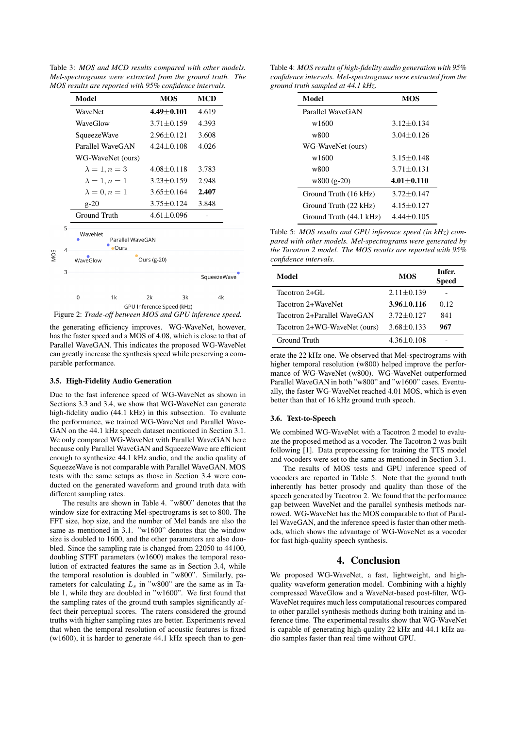Table 3: *MOS and MCD results compared with other models. Mel-spectrograms were extracted from the ground truth. The MOS results are reported with 95% confidence intervals.*

|     |                  | Model                                      |                      |             | <b>MOS</b>       | <b>MCD</b>  |       |  |  |
|-----|------------------|--------------------------------------------|----------------------|-------------|------------------|-------------|-------|--|--|
|     |                  | WaveNet                                    |                      |             | $4.49 \pm 0.101$ | 4.619       |       |  |  |
|     |                  | WaveGlow                                   |                      |             | $3.71 \pm 0.159$ |             | 4.393 |  |  |
|     |                  | SqueezeWave                                |                      |             | $2.96 \pm 0.121$ | 3.608       |       |  |  |
|     | Parallel WaveGAN |                                            |                      |             | $4.24 \pm 0.108$ | 4.026       |       |  |  |
|     |                  | WG-WaveNet (ours)                          |                      |             |                  |             |       |  |  |
|     |                  | $\lambda = 1, n = 3$                       |                      |             | $4.08 \pm 0.118$ |             | 3.783 |  |  |
|     |                  |                                            | $\lambda = 1, n = 1$ |             | $3.23 \pm 0.159$ | 2.948       |       |  |  |
|     |                  |                                            | $\lambda = 0, n = 1$ |             | $3.65 \pm 0.164$ |             | 2.407 |  |  |
|     |                  | $g-20$                                     |                      |             | $3.75 \pm 0.124$ | 3.848       |       |  |  |
|     |                  | Ground Truth                               |                      |             | $4.61 \pm 0.096$ |             |       |  |  |
|     | 5<br>4           | WaveNet<br>Parallel WaveGAN<br><b>Ours</b> |                      |             |                  |             |       |  |  |
| NOS |                  | WaveGlow                                   |                      | Ours (g-20) |                  |             |       |  |  |
|     | 3                |                                            |                      |             |                  | SqueezeWave |       |  |  |
|     |                  | 0                                          | 1k                   | 2k          | 3k               | 4k          |       |  |  |
|     |                  |                                            |                      |             |                  |             |       |  |  |

Figure 2: *Trade-off between MOS and GPU inference speed.*

the generating efficiency improves. WG-WaveNet, however, has the faster speed and a MOS of 4.08, which is close to that of Parallel WaveGAN. This indicates the proposed WG-WaveNet can greatly increase the synthesis speed while preserving a comparable performance.

#### 3.5. High-Fidelity Audio Generation

Due to the fast inference speed of WG-WaveNet as shown in Sections 3.3 and 3.4, we show that WG-WaveNet can generate high-fidelity audio (44.1 kHz) in this subsection. To evaluate the performance, we trained WG-WaveNet and Parallel Wave-GAN on the 44.1 kHz speech dataset mentioned in Section 3.1. We only compared WG-WaveNet with Parallel WaveGAN here because only Parallel WaveGAN and SqueezeWave are efficient enough to synthesize 44.1 kHz audio, and the audio quality of SqueezeWave is not comparable with Parallel WaveGAN. MOS tests with the same setups as those in Section 3.4 were conducted on the generated waveform and ground truth data with different sampling rates.

The results are shown in Table 4. "w800" denotes that the window size for extracting Mel-spectrograms is set to 800. The FFT size, hop size, and the number of Mel bands are also the same as mentioned in 3.1. "w1600" denotes that the window size is doubled to 1600, and the other parameters are also doubled. Since the sampling rate is changed from 22050 to 44100, doubling STFT parameters (w1600) makes the temporal resolution of extracted features the same as in Section 3.4, while the temporal resolution is doubled in "w800". Similarly, parameters for calculating  $L_s$  in "w800" are the same as in Table 1, while they are doubled in "w1600". We first found that the sampling rates of the ground truth samples significantly affect their perceptual scores. The raters considered the ground truths with higher sampling rates are better. Experiments reveal that when the temporal resolution of acoustic features is fixed (w1600), it is harder to generate 44.1 kHz speech than to gen-

Table 4: *MOS results of high-fidelity audio generation with 95% confidence intervals. Mel-spectrograms were extracted from the ground truth sampled at 44.1 kHz.*

| Model                   | <b>MOS</b>     |  |  |
|-------------------------|----------------|--|--|
| Parallel WaveGAN        |                |  |  |
| w1600                   | $3.12 + 0.134$ |  |  |
| w800                    | $3.04 + 0.126$ |  |  |
| WG-WaveNet (ours)       |                |  |  |
| w1600                   | $3.15 + 0.148$ |  |  |
| w800                    | $3.71 + 0.131$ |  |  |
| $w800$ (g-20)           | $4.01 + 0.110$ |  |  |
| Ground Truth (16 kHz)   | $3.72 + 0.147$ |  |  |
| Ground Truth (22 kHz)   | $4.15 + 0.127$ |  |  |
| Ground Truth (44.1 kHz) | $4.44 + 0.105$ |  |  |

Table 5: *MOS results and GPU inference speed (in kHz) compared with other models. Mel-spectrograms were generated by the Tacotron 2 model. The MOS results are reported with 95% confidence intervals.*

| Model                        | <b>MOS</b>     | Infer.<br><b>Speed</b> |
|------------------------------|----------------|------------------------|
| Tacotron 2+GL                | $2.11 + 0.139$ |                        |
| Tacotron 2+WaveNet           | $3.96 + 0.116$ | 0.12                   |
| Tacotron 2+Parallel WaveGAN  | $3.72 + 0.127$ | 841                    |
| Tacotron 2+WG-WaveNet (ours) | $3.68 + 0.133$ | 967                    |
| Ground Truth                 | $4.36 + 0.108$ |                        |

erate the 22 kHz one. We observed that Mel-spectrograms with higher temporal resolution (w800) helped improve the performance of WG-WaveNet (w800). WG-WaveNet outperformed Parallel WaveGAN in both "w800" and "w1600" cases. Eventually, the faster WG-WaveNet reached 4.01 MOS, which is even better than that of 16 kHz ground truth speech.

#### 3.6. Text-to-Speech

We combined WG-WaveNet with a Tacotron 2 model to evaluate the proposed method as a vocoder. The Tacotron 2 was built following [1]. Data preprocessing for training the TTS model and vocoders were set to the same as mentioned in Section 3.1.

The results of MOS tests and GPU inference speed of vocoders are reported in Table 5. Note that the ground truth inherently has better prosody and quality than those of the speech generated by Tacotron 2. We found that the performance gap between WaveNet and the parallel synthesis methods narrowed. WG-WaveNet has the MOS comparable to that of Parallel WaveGAN, and the inference speed is faster than other methods, which shows the advantage of WG-WaveNet as a vocoder for fast high-quality speech synthesis.

# 4. Conclusion

We proposed WG-WaveNet, a fast, lightweight, and highquality waveform generation model. Combining with a highly compressed WaveGlow and a WaveNet-based post-filter, WG-WaveNet requires much less computational resources compared to other parallel synthesis methods during both training and inference time. The experimental results show that WG-WaveNet is capable of generating high-quality 22 kHz and 44.1 kHz audio samples faster than real time without GPU.